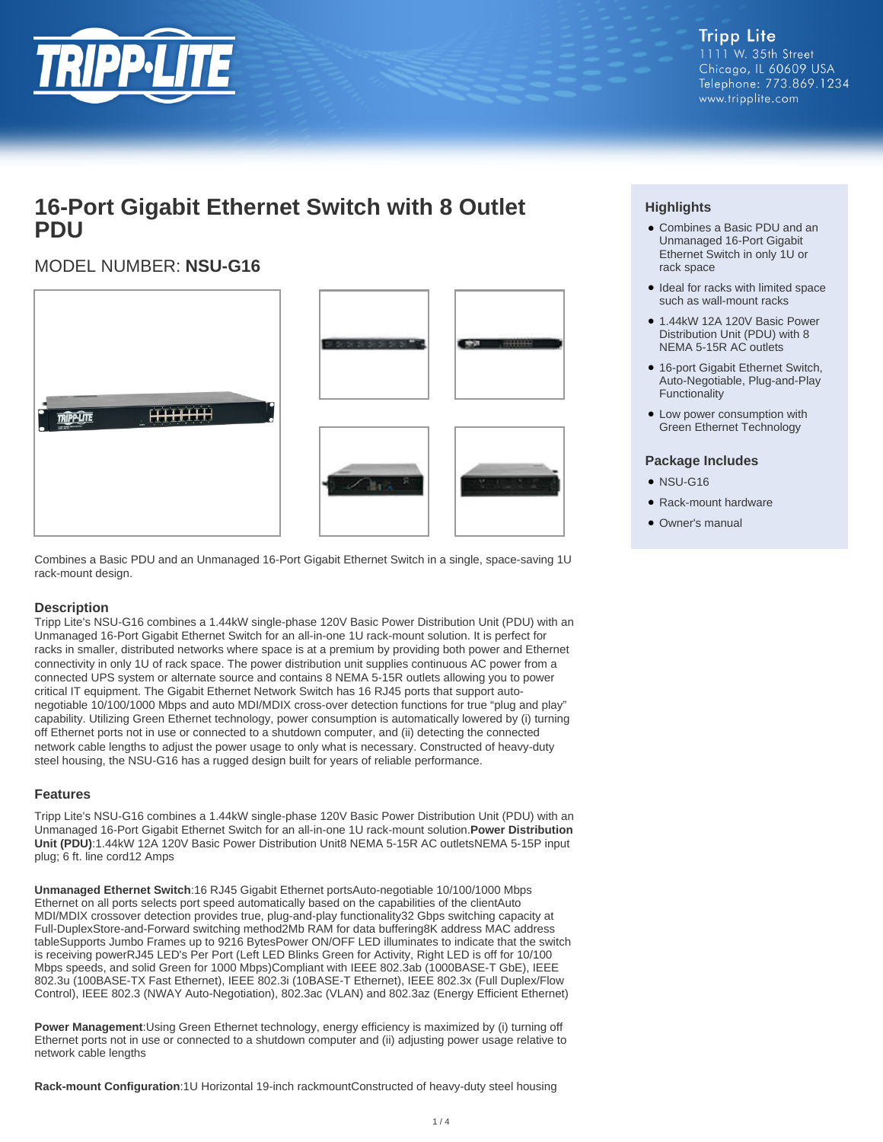

# **16-Port Gigabit Ethernet Switch with 8 Outlet PDU**

# MODEL NUMBER: **NSU-G16**



Combines a Basic PDU and an Unmanaged 16-Port Gigabit Ethernet Switch in a single, space-saving 1U rack-mount design.

## **Description**

Tripp Lite's NSU-G16 combines a 1.44kW single-phase 120V Basic Power Distribution Unit (PDU) with an Unmanaged 16-Port Gigabit Ethernet Switch for an all-in-one 1U rack-mount solution. It is perfect for racks in smaller, distributed networks where space is at a premium by providing both power and Ethernet connectivity in only 1U of rack space. The power distribution unit supplies continuous AC power from a connected UPS system or alternate source and contains 8 NEMA 5-15R outlets allowing you to power critical IT equipment. The Gigabit Ethernet Network Switch has 16 RJ45 ports that support autonegotiable 10/100/1000 Mbps and auto MDI/MDIX cross-over detection functions for true "plug and play" capability. Utilizing Green Ethernet technology, power consumption is automatically lowered by (i) turning off Ethernet ports not in use or connected to a shutdown computer, and (ii) detecting the connected network cable lengths to adjust the power usage to only what is necessary. Constructed of heavy-duty steel housing, the NSU-G16 has a rugged design built for years of reliable performance.

## **Features**

Tripp Lite's NSU-G16 combines a 1.44kW single-phase 120V Basic Power Distribution Unit (PDU) with an Unmanaged 16-Port Gigabit Ethernet Switch for an all-in-one 1U rack-mount solution.**Power Distribution Unit (PDU)**:1.44kW 12A 120V Basic Power Distribution Unit8 NEMA 5-15R AC outletsNEMA 5-15P input plug; 6 ft. line cord12 Amps

**Unmanaged Ethernet Switch**:16 RJ45 Gigabit Ethernet portsAuto-negotiable 10/100/1000 Mbps Ethernet on all ports selects port speed automatically based on the capabilities of the clientAuto MDI/MDIX crossover detection provides true, plug-and-play functionality32 Gbps switching capacity at Full-DuplexStore-and-Forward switching method2Mb RAM for data buffering8K address MAC address tableSupports Jumbo Frames up to 9216 BytesPower ON/OFF LED illuminates to indicate that the switch is receiving powerRJ45 LED's Per Port (Left LED Blinks Green for Activity, Right LED is off for 10/100 Mbps speeds, and solid Green for 1000 Mbps)Compliant with IEEE 802.3ab (1000BASE-T GbE), IEEE 802.3u (100BASE-TX Fast Ethernet), IEEE 802.3i (10BASE-T Ethernet), IEEE 802.3x (Full Duplex/Flow Control), IEEE 802.3 (NWAY Auto-Negotiation), 802.3ac (VLAN) and 802.3az (Energy Efficient Ethernet)

**Power Management**:Using Green Ethernet technology, energy efficiency is maximized by (i) turning off Ethernet ports not in use or connected to a shutdown computer and (ii) adjusting power usage relative to network cable lengths

**Rack-mount Configuration**:1U Horizontal 19-inch rackmountConstructed of heavy-duty steel housing

# **Highlights**

- Combines a Basic PDU and an Unmanaged 16-Port Gigabit Ethernet Switch in only 1U or rack space
- Ideal for racks with limited space such as wall-mount racks
- 1.44kW 12A 120V Basic Power Distribution Unit (PDU) with 8 NEMA 5-15R AC outlets
- 16-port Gigabit Ethernet Switch, Auto-Negotiable, Plug-and-Play Functionality
- Low power consumption with Green Ethernet Technology

#### **Package Includes**

- $\bullet$  NSU-G16
- Rack-mount hardware
- Owner's manual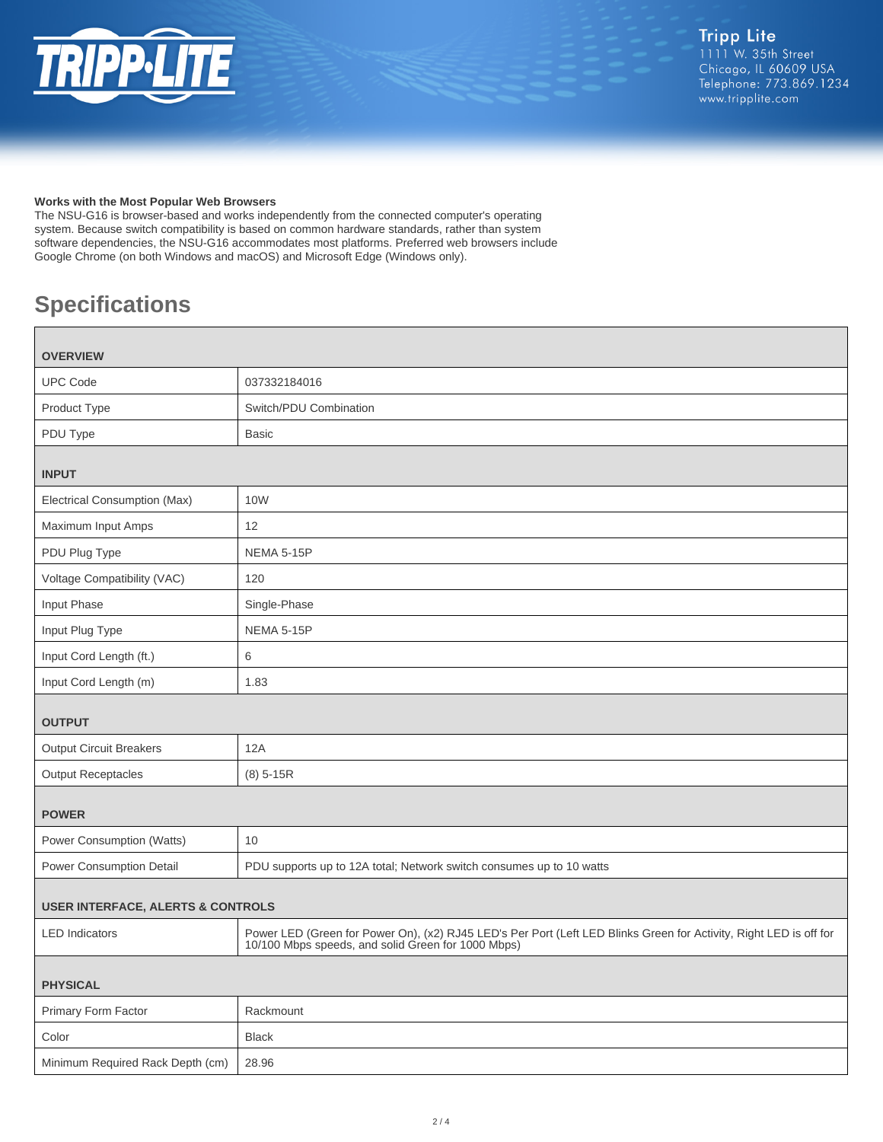

#### **Works with the Most Popular Web Browsers**

The NSU-G16 is browser-based and works independently from the connected computer's operating system. Because switch compatibility is based on common hardware standards, rather than system software dependencies, the NSU-G16 accommodates most platforms. Preferred web browsers include Google Chrome (on both Windows and macOS) and Microsoft Edge (Windows only).

# **Specifications**

| <b>OVERVIEW</b>                              |                                                                                                                                                                          |  |
|----------------------------------------------|--------------------------------------------------------------------------------------------------------------------------------------------------------------------------|--|
| <b>UPC Code</b>                              | 037332184016                                                                                                                                                             |  |
| Product Type                                 | Switch/PDU Combination                                                                                                                                                   |  |
| PDU Type                                     | <b>Basic</b>                                                                                                                                                             |  |
| <b>INPUT</b>                                 |                                                                                                                                                                          |  |
| Electrical Consumption (Max)                 | 10W                                                                                                                                                                      |  |
| Maximum Input Amps                           | 12                                                                                                                                                                       |  |
| PDU Plug Type                                | <b>NEMA 5-15P</b>                                                                                                                                                        |  |
| Voltage Compatibility (VAC)                  | 120                                                                                                                                                                      |  |
| Input Phase                                  | Single-Phase                                                                                                                                                             |  |
| Input Plug Type                              | <b>NEMA 5-15P</b>                                                                                                                                                        |  |
| Input Cord Length (ft.)                      | 6                                                                                                                                                                        |  |
| Input Cord Length (m)                        | 1.83                                                                                                                                                                     |  |
| <b>OUTPUT</b>                                |                                                                                                                                                                          |  |
| <b>Output Circuit Breakers</b>               | 12A                                                                                                                                                                      |  |
| <b>Output Receptacles</b>                    | $(8)$ 5-15R                                                                                                                                                              |  |
| <b>POWER</b>                                 |                                                                                                                                                                          |  |
| Power Consumption (Watts)                    | 10                                                                                                                                                                       |  |
| Power Consumption Detail                     | PDU supports up to 12A total; Network switch consumes up to 10 watts                                                                                                     |  |
| <b>USER INTERFACE, ALERTS &amp; CONTROLS</b> |                                                                                                                                                                          |  |
| <b>LED</b> Indicators                        | Power LED (Green for Power On), (x2) RJ45 LED's Per Port (Left LED Blinks Green for Activity, Right LED is off for<br>10/100 Mbps speeds, and solid Green for 1000 Mbps) |  |
| <b>PHYSICAL</b>                              |                                                                                                                                                                          |  |
| Primary Form Factor                          | Rackmount                                                                                                                                                                |  |
| Color                                        | <b>Black</b>                                                                                                                                                             |  |
| Minimum Required Rack Depth (cm)             | 28.96                                                                                                                                                                    |  |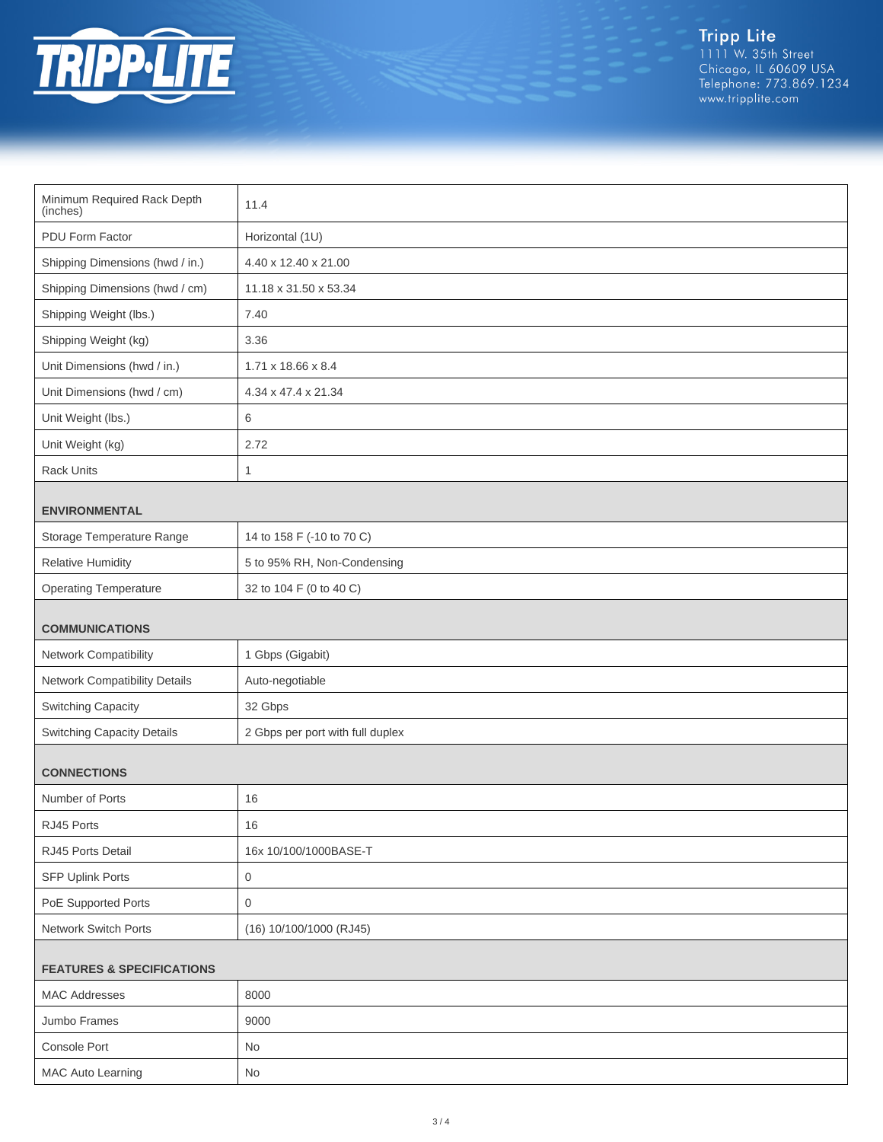

Tripp Lite<br>1111 W. 35th Street<br>Chicago, IL 60609 USA<br>Telephone: 773.869.1234<br>www.tripplite.com

| Minimum Required Rack Depth<br>(inches) | 11.4                             |
|-----------------------------------------|----------------------------------|
| PDU Form Factor                         | Horizontal (1U)                  |
| Shipping Dimensions (hwd / in.)         | 4.40 x 12.40 x 21.00             |
| Shipping Dimensions (hwd / cm)          | 11.18 x 31.50 x 53.34            |
| Shipping Weight (lbs.)                  | 7.40                             |
| Shipping Weight (kg)                    | 3.36                             |
| Unit Dimensions (hwd / in.)             | 1.71 x 18.66 x 8.4               |
| Unit Dimensions (hwd / cm)              | 4.34 x 47.4 x 21.34              |
| Unit Weight (lbs.)                      | 6                                |
| Unit Weight (kg)                        | 2.72                             |
| <b>Rack Units</b>                       | 1                                |
| <b>ENVIRONMENTAL</b>                    |                                  |
| Storage Temperature Range               | 14 to 158 F (-10 to 70 C)        |
| <b>Relative Humidity</b>                | 5 to 95% RH, Non-Condensing      |
| <b>Operating Temperature</b>            | 32 to 104 F (0 to 40 C)          |
| <b>COMMUNICATIONS</b>                   |                                  |
| Network Compatibility                   | 1 Gbps (Gigabit)                 |
| Network Compatibility Details           | Auto-negotiable                  |
| Switching Capacity                      | 32 Gbps                          |
| <b>Switching Capacity Details</b>       | 2 Gbps per port with full duplex |
| <b>CONNECTIONS</b>                      |                                  |
| Number of Ports                         | 16                               |
| RJ45 Ports                              | 16                               |
| RJ45 Ports Detail                       | 16x 10/100/1000BASE-T            |
| <b>SFP Uplink Ports</b>                 | $\boldsymbol{0}$                 |
| PoE Supported Ports                     | $\mathsf{O}\xspace$              |
| Network Switch Ports                    | (16) 10/100/1000 (RJ45)          |
| <b>FEATURES &amp; SPECIFICATIONS</b>    |                                  |
| <b>MAC Addresses</b>                    | 8000                             |
| Jumbo Frames                            | 9000                             |
| Console Port                            | No                               |
| <b>MAC Auto Learning</b>                | No                               |